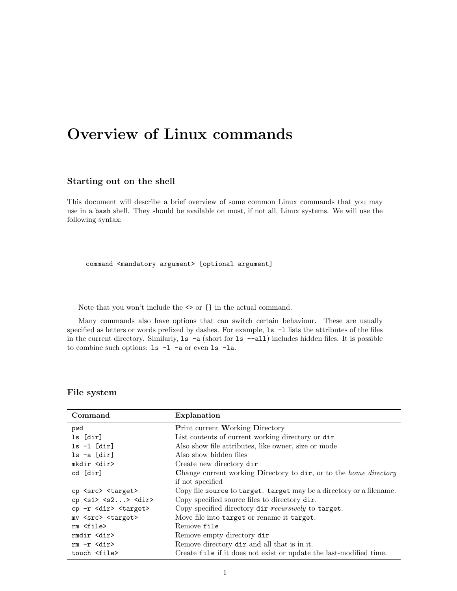# Overview of Linux commands

#### Starting out on the shell

This document will describe a brief overview of some common Linux commands that you may use in a bash shell. They should be available on most, if not all, Linux systems. We will use the following syntax:

command <mandatory argument> [optional argument]

Note that you won't include the  $\iff$  or  $\left[\right]$  in the actual command.

Many commands also have options that can switch certain behaviour. These are usually specified as letters or words prefixed by dashes. For example,  $1s - 1$  lists the attributes of the files in the current directory. Similarly,  $ls -a$  (short for  $ls --a$ ) includes hidden files. It is possible to combine such options: ls -l -a or even ls -la.

#### File system

| Command                             | Explanation                                                              |
|-------------------------------------|--------------------------------------------------------------------------|
| pwd                                 | <b>Print current Working Directory</b>                                   |
| ls [dir]                            | List contents of current working directory or dir                        |
| $ls -l [dir]$                       | Also show file attributes, like owner, size or mode                      |
| $ls -a [dir]$                       | Also show hidden files                                                   |
| mkdir <dir></dir>                   | Create new directory dir                                                 |
| cd [dir]                            | Change current working Directory to dir, or to the <i>home directory</i> |
|                                     | if not specified                                                         |
| cp <src> <target></target></src>    | Copy file source to target. target may be a directory or a filename.     |
| $cp$ $> > >$                        | Copy specified source files to directory dir.                            |
| cp -r <dir> <target></target></dir> | Copy specified directory dir recursively to target.                      |
| mv <src> <target></target></src>    | Move file into target or rename it target.                               |
| rm <file></file>                    | Remove file                                                              |
| rmdir <dir></dir>                   | Remove empty directory dir                                               |
| $rm-r$ $\langle$ dir $\rangle$      | Remove directory dir and all that is in it.                              |
| touch <file></file>                 | Create file if it does not exist or update the last-modified time.       |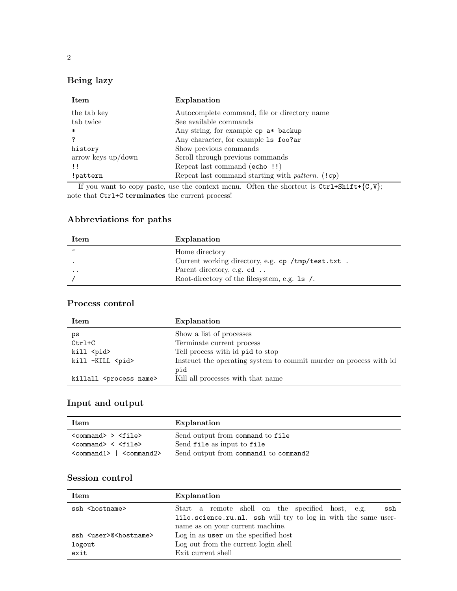## Being lazy

| the tab key<br>Autocomplete command, file or directory name          |  |
|----------------------------------------------------------------------|--|
| tab twice<br>See available commands                                  |  |
| Any string, for example $cp \text{ a*}$ backup<br>∗                  |  |
| Any character, for example 1s foo?ar<br>7                            |  |
| Show previous commands<br>history                                    |  |
| Scroll through previous commands<br>$arrow$ keys $up/down$           |  |
| Repeat last command (echo !!)<br>ΤĪ                                  |  |
| Repeat last command starting with <i>pattern</i> . (!cp)<br>!pattern |  |

If you want to copy paste, use the context menu. Often the shortcut is  $Ctrl+Shift+{C,V};$ note that  $\tt Ctrl+C$   $\tt terminates$  the current process!

### Abbreviations for paths

| Item                  | Explanation                                        |
|-----------------------|----------------------------------------------------|
| $\tilde{\phantom{a}}$ | Home directory                                     |
|                       | Current working directory, e.g. cp /tmp/test.txt . |
| $\cdot$ $\cdot$       | Parent directory, e.g. cd                          |
|                       | Root-directory of the filesystem, e.g. 1s /.       |

#### Process control

| Item                                | Explanation                                                       |
|-------------------------------------|-------------------------------------------------------------------|
| ps                                  | Show a list of processes                                          |
| $Ctrl+C$                            | Terminate current process                                         |
| kill <pid></pid>                    | Tell process with id pid to stop                                  |
| kill -KILL <pid></pid>              | Instruct the operating system to commit murder on process with id |
|                                     | pid                                                               |
| killall <process name=""></process> | Kill all processes with that name                                 |

### Input and output

| Item                                                   | Explanation                                                    |
|--------------------------------------------------------|----------------------------------------------------------------|
| $<$ command> > $<$ file><br>$<$ command> $<$ $<$ file> | Send output from command to file<br>Send file as input to file |
| $\zeta$ command $1$ > $\zeta$ $\zeta$ command $2$ >    | Send output from command1 to command2                          |

#### Session control

| Item                                    | Explanation                                                    |
|-----------------------------------------|----------------------------------------------------------------|
| ssh <hostname></hostname>               | Start a remote shell on the specified host, e.g.<br>ssh        |
|                                         | lilo.science.ru.nl. ssh will try to log in with the same user- |
|                                         | name as on your current machine.                               |
| ssh <user>@<hostname></hostname></user> | Log in as user on the specified host                           |
| logout                                  | Log out from the current login shell                           |
| exit                                    | Exit current shell                                             |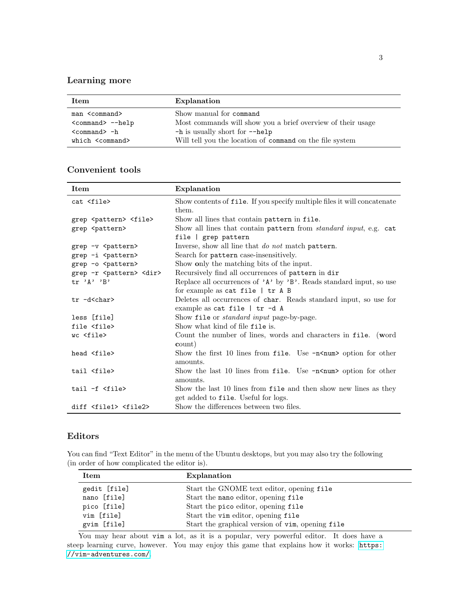### Learning more

| Item                  | Explanation                                                 |
|-----------------------|-------------------------------------------------------------|
| man <command/>        | Show manual for command                                     |
| $<$ command> $-$ help | Most commands will show you a brief overview of their usage |
| $<$ command $> -h$    | -h is usually short for --help                              |
| which <command/>      | Will tell you the location of command on the file system    |

### Convenient tools

| Item                                    | Explanation                                                                                            |
|-----------------------------------------|--------------------------------------------------------------------------------------------------------|
| cat <file></file>                       | Show contents of file. If you specify multiple files it will concatenate<br>them.                      |
| grep <pattern> <file></file></pattern>  | Show all lines that contain pattern in file.                                                           |
| grep <pattern></pattern>                | Show all lines that contain pattern from <i>standard input</i> , e.g. cat                              |
|                                         | file   grep pattern                                                                                    |
| grep -v <pattern></pattern>             | Inverse, show all line that do not match pattern.                                                      |
| grep -i <pattern></pattern>             | Search for pattern case-insensitively.                                                                 |
| grep -o <pattern></pattern>             | Show only the matching bits of the input.                                                              |
| grep -r <pattern> <dir></dir></pattern> | Recursively find all occurrences of pattern in dir                                                     |
| tr 'A' 'B'                              | Replace all occurrences of $'A'$ by $'B'$ . Reads standard input, so use                               |
|                                         | for example as cat file   tr A B                                                                       |
| tr -d <char></char>                     | Deletes all occurrences of char. Reads standard input, so use for<br>example as cat file $ $ tr $-d$ A |
| less [file]                             | Show file or <i>standard input</i> page-by-page.                                                       |
| file <file></file>                      | Show what kind of file file is.                                                                        |
| wc <file></file>                        | Count the number of lines, words and characters in file. (word                                         |
|                                         | count)                                                                                                 |
| head <file></file>                      | Show the first 10 lines from file. Use -n <num> option for other</num>                                 |
|                                         | amounts.                                                                                               |
| tail <file></file>                      | Show the last 10 lines from file. Use $-n$ <num for="" option="" other<="" td=""></num>                |
|                                         | amounts.                                                                                               |
| tail -f <file></file>                   | Show the last 10 lines from file and then show new lines as they                                       |
|                                         | get added to file. Useful for logs.                                                                    |
| diff <file1> <file2></file2></file1>    | Show the differences between two files.                                                                |

#### Editors

You can find "Text Editor" in the menu of the Ubuntu desktops, but you may also try the following (in order of how complicated the editor is).

| Item         | Explanation                                      |
|--------------|--------------------------------------------------|
| gedit [file] | Start the GNOME text editor, opening file        |
| nano [file]  | Start the nano editor, opening file              |
| pico [file]  | Start the pico editor, opening file              |
| vim [file]   | Start the vim editor, opening file               |
| gvim [file]  | Start the graphical version of vim, opening file |

You may hear about vim a lot, as it is a popular, very powerful editor. It does have a steep learning curve, however. You may enjoy this game that explains how it works: [https:](https://vim-adventures.com/) [//vim-adventures.com/](https://vim-adventures.com/).